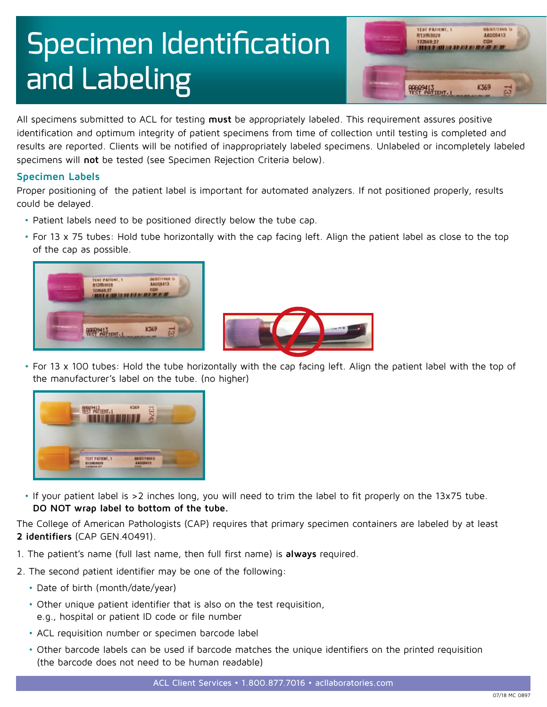# Specimen Identification and Labeling



All specimens submitted to ACL for testing **must** be appropriately labeled. This requirement assures positive identification and optimum integrity of patient specimens from time of collection until testing is completed and results are reported. Clients will be notified of inappropriately labeled specimens. Unlabeled or incompletely labeled specimens will **[not](https://www.acllaboratories.com/patient-info/insurance-providers/)** be tested (see Specimen Rejection Criteria below).

## **Specimen Labels**

Proper positioning of the patient label is important for automated analyzers. If not positioned properly, results could be delayed.

- Patient labels need to be positioned directly below the tube cap.
- For 13 x 75 tubes: Hold tube horizontally with the cap facing left. Align the patient label as close to the top of the cap as possible.





• For 13 x 100 tubes: Hold the tube horizontally with the cap facing left. Align the patient label with the top of the manufacturer's label on the tube. (no higher)



• If your patient label is >2 inches long, you will need to trim the label to fit properly on the 13x75 tube. **DO NOT wrap label to bottom of the tube.** 

The College of American Pathologists (CAP) requires that primary specimen containers are labeled by at least **2 identifiers** (CAP GEN.40491).

- 1. The patient's name (full last name, then full first name) is **[always](https://www.acllaboratories.com/patient-info/insurance-providers/)** required.
- 2. The second patient identifier may be one of the following:
	- Date of birth (month/date/year)
	- Other unique patient identifier that is also on the test requisition, e.g., hospital or patient ID code or file number
	- ACL requisition number or specimen barcode label
	- Other barcode labels can be used if barcode matches the unique identifiers on the printed requisition (the barcode does not need to be human readable)